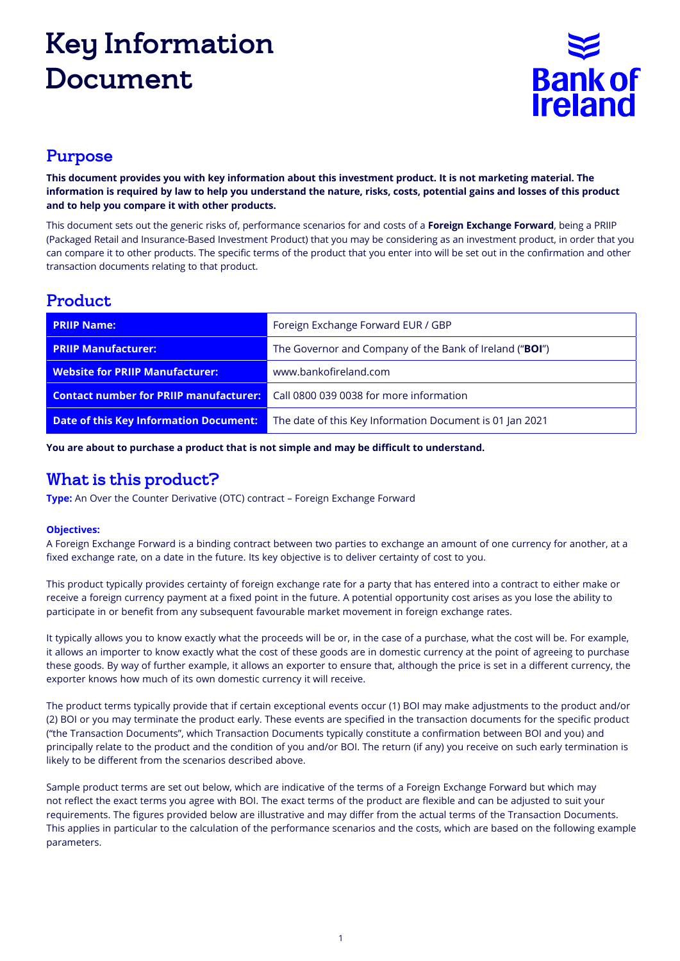# Key Information Document



#### Purpose

**This document provides you with key information about this investment product. It is not marketing material. The information is required by law to help you understand the nature, risks, costs, potential gains and losses of this product and to help you compare it with other products.**

This document sets out the generic risks of, performance scenarios for and costs of a **Foreign Exchange Forward**, being a PRIIP (Packaged Retail and Insurance-Based Investment Product) that you may be considering as an investment product, in order that you can compare it to other products. The specific terms of the product that you enter into will be set out in the confirmation and other transaction documents relating to that product.

### Product

| <b>PRIIP Name:</b>                            | Foreign Exchange Forward EUR / GBP                       |  |
|-----------------------------------------------|----------------------------------------------------------|--|
| <b>PRIIP Manufacturer:</b>                    | The Governor and Company of the Bank of Ireland ("BOI")  |  |
| <b>Website for PRIIP Manufacturer:</b>        | www.bankofireland.com                                    |  |
| <b>Contact number for PRIIP manufacturer:</b> | Call 0800 039 0038 for more information                  |  |
| Date of this Key Information Document:        | The date of this Key Information Document is 01 Jan 2021 |  |

**You are about to purchase a product that is not simple and may be difficult to understand.**

#### What is this product?

**Type:** An Over the Counter Derivative (OTC) contract – Foreign Exchange Forward

#### **Objectives:**

A Foreign Exchange Forward is a binding contract between two parties to exchange an amount of one currency for another, at a fixed exchange rate, on a date in the future. Its key objective is to deliver certainty of cost to you.

This product typically provides certainty of foreign exchange rate for a party that has entered into a contract to either make or receive a foreign currency payment at a fixed point in the future. A potential opportunity cost arises as you lose the ability to participate in or benefit from any subsequent favourable market movement in foreign exchange rates.

It typically allows you to know exactly what the proceeds will be or, in the case of a purchase, what the cost will be. For example, it allows an importer to know exactly what the cost of these goods are in domestic currency at the point of agreeing to purchase these goods. By way of further example, it allows an exporter to ensure that, although the price is set in a different currency, the exporter knows how much of its own domestic currency it will receive.

The product terms typically provide that if certain exceptional events occur (1) BOI may make adjustments to the product and/or (2) BOI or you may terminate the product early. These events are specified in the transaction documents for the specific product ("the Transaction Documents", which Transaction Documents typically constitute a confirmation between BOI and you) and principally relate to the product and the condition of you and/or BOI. The return (if any) you receive on such early termination is likely to be different from the scenarios described above.

Sample product terms are set out below, which are indicative of the terms of a Foreign Exchange Forward but which may not reflect the exact terms you agree with BOI. The exact terms of the product are flexible and can be adjusted to suit your requirements. The figures provided below are illustrative and may differ from the actual terms of the Transaction Documents. This applies in particular to the calculation of the performance scenarios and the costs, which are based on the following example parameters.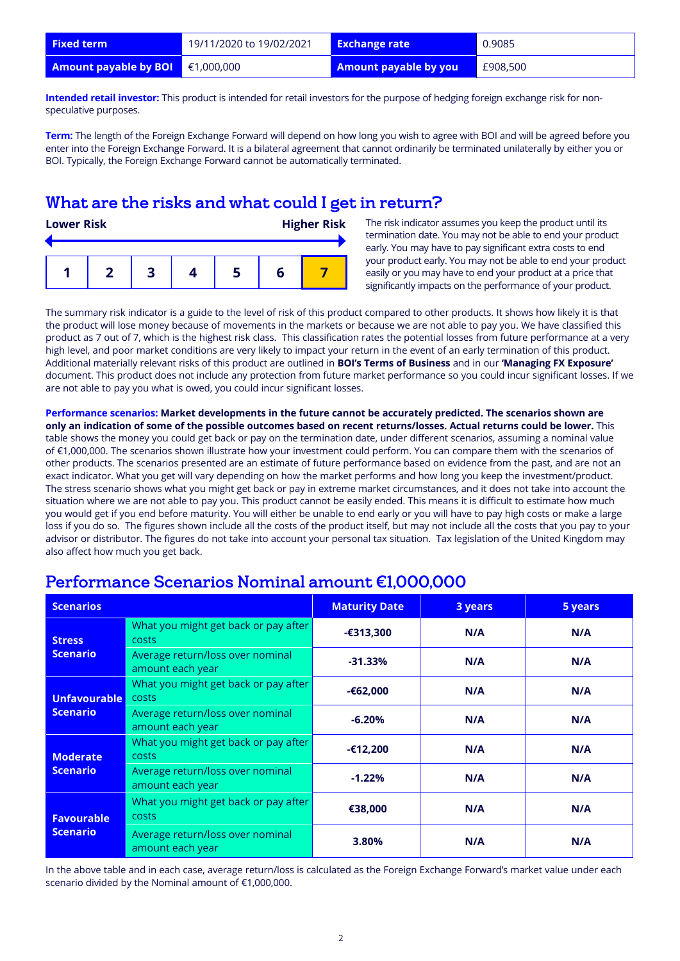| <b>Fixed term</b>                            | 19/11/2020 to 19/02/2021 | <b>Exchange rate</b>         | 0.9085   |
|----------------------------------------------|--------------------------|------------------------------|----------|
| <b>Amount payable by BOI</b> $\in$ 1,000,000 |                          | <b>Amount payable by you</b> | £908,500 |

**Intended retail investor:** This product is intended for retail investors for the purpose of hedging foreign exchange risk for nonspeculative purposes.

**Term:** The length of the Foreign Exchange Forward will depend on how long you wish to agree with BOI and will be agreed before you enter into the Foreign Exchange Forward. It is a bilateral agreement that cannot ordinarily be terminated unilaterally by either you or BOI. Typically, the Foreign Exchange Forward cannot be automatically terminated.

#### What are the risks and what could I get in return?

| <b>Lower Risk</b> |  |  |  | <b>Higher Risk</b> |  |
|-------------------|--|--|--|--------------------|--|
|                   |  |  |  |                    |  |

The risk indicator assumes you keep the product until its termination date. You may not be able to end your product early. You may have to pay significant extra costs to end your product early. You may not be able to end your product easily or you may have to end your product at a price that significantly impacts on the performance of your product.

The summary risk indicator is a guide to the level of risk of this product compared to other products. It shows how likely it is that the product will lose money because of movements in the markets or because we are not able to pay you. We have classified this product as 7 out of 7, which is the highest risk class. This classification rates the potential losses from future performance at a very high level, and poor market conditions are very likely to impact your return in the event of an early termination of this product. Additional materially relevant risks of this product are outlined in **BOI's Terms of Business** and in our **'Managing FX Exposure'**  document. This product does not include any protection from future market performance so you could incur significant losses. If we are not able to pay you what is owed, you could incur significant losses.

**Performance scenarios: Market developments in the future cannot be accurately predicted. The scenarios shown are only an indication of some of the possible outcomes based on recent returns/losses. Actual returns could be lower.** This table shows the money you could get back or pay on the termination date, under different scenarios, assuming a nominal value of €1,000,000. The scenarios shown illustrate how your investment could perform. You can compare them with the scenarios of other products. The scenarios presented are an estimate of future performance based on evidence from the past, and are not an exact indicator. What you get will vary depending on how the market performs and how long you keep the investment/product. The stress scenario shows what you might get back or pay in extreme market circumstances, and it does not take into account the situation where we are not able to pay you. This product cannot be easily ended. This means it is difficult to estimate how much you would get if you end before maturity. You will either be unable to end early or you will have to pay high costs or make a large loss if you do so. The figures shown include all the costs of the product itself, but may not include all the costs that you pay to your advisor or distributor. The figures do not take into account your personal tax situation. Tax legislation of the United Kingdom may also affect how much you get back.

| <b>Scenarios</b>                                |                                                      | <b>Maturity Date</b> | 3 years | 5 years |
|-------------------------------------------------|------------------------------------------------------|----------------------|---------|---------|
| <b>Stress</b><br>Scenario                       | What you might get back or pay after<br><b>COSTS</b> | $-6313,300$          | N/A     | N/A     |
|                                                 | Average return/loss over nominal<br>amount each year | $-31.33%$            | N/A     | N/A     |
| <b>Unfavourable</b><br>costs<br><b>Scenario</b> | What you might get back or pay after                 | $-62,000$            | N/A     | N/A     |
|                                                 | Average return/loss over nominal<br>amount each year | $-6.20%$             | N/A     | N/A     |
| <b>Moderate</b><br><b>Scenario</b>              | What you might get back or pay after<br>costs        | -€12,200             | N/A     | N/A     |
|                                                 | Average return/loss over nominal<br>amount each year | $-1.22%$             | N/A     | N/A     |
| <b>Favourable</b><br><b>Scenario</b>            | What you might get back or pay after<br><b>COSTS</b> | €38,000              | N/A     | N/A     |
|                                                 | Average return/loss over nominal<br>amount each year | 3.80%                | N/A     | N/A     |

#### Performance Scenarios Nominal amount €1,000,000

In the above table and in each case, average return/loss is calculated as the Foreign Exchange Forward's market value under each scenario divided by the Nominal amount of €1,000,000.